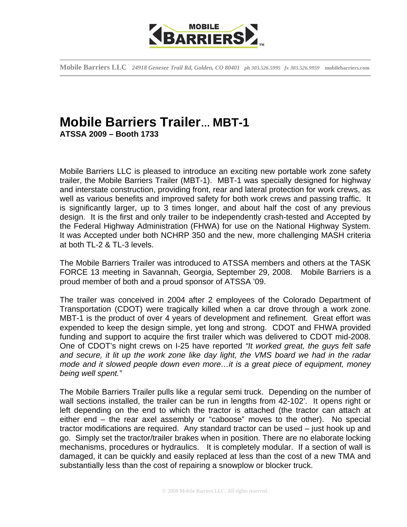

**Mobile Barriers LLC** *24918 Genesee Trail Rd, Golden, CO 80401**ph 303.526.5995 fx 303.526.9959* **mobilebarriers.com** 

## **Mobile Barriers Trailer… MBT-1 ATSSA 2009 – Booth 1733**

Mobile Barriers LLC is pleased to introduce an exciting new portable work zone safety trailer, the Mobile Barriers Trailer (MBT-1). MBT-1 was specially designed for highway and interstate construction, providing front, rear and lateral protection for work crews, as well as various benefits and improved safety for both work crews and passing traffic. It is significantly larger, up to 3 times longer, and about half the cost of any previous design. It is the first and only trailer to be independently crash-tested and Accepted by the Federal Highway Administration (FHWA) for use on the National Highway System. It was Accepted under both NCHRP 350 and the new, more challenging MASH criteria at both TL-2 & TL-3 levels.

The Mobile Barriers Trailer was introduced to ATSSA members and others at the TASK FORCE 13 meeting in Savannah, Georgia, September 29, 2008. Mobile Barriers is a proud member of both and a proud sponsor of ATSSA '09.

The trailer was conceived in 2004 after 2 employees of the Colorado Department of Transportation (CDOT) were tragically killed when a car drove through a work zone. MBT-1 is the product of over 4 years of development and refinement. Great effort was expended to keep the design simple, yet long and strong. CDOT and FHWA provided funding and support to acquire the first trailer which was delivered to CDOT mid-2008. One of CDOT's night crews on I-25 have reported *"It worked great, the guys felt safe and secure, it lit up the work zone like day light, the VMS board we had in the radar mode and it slowed people down even more…it is a great piece of equipment, money being well spent."*

The Mobile Barriers Trailer pulls like a regular semi truck. Depending on the number of wall sections installed, the trailer can be run in lengths from 42-102'. It opens right or left depending on the end to which the tractor is attached (the tractor can attach at either end – the rear axel assembly or "caboose" moves to the other). No special tractor modifications are required. Any standard tractor can be used – just hook up and go. Simply set the tractor/trailer brakes when in position. There are no elaborate locking mechanisms, procedures or hydraulics. It is completely modular. If a section of wall is damaged, it can be quickly and easily replaced at less than the cost of a new TMA and substantially less than the cost of repairing a snowplow or blocker truck.